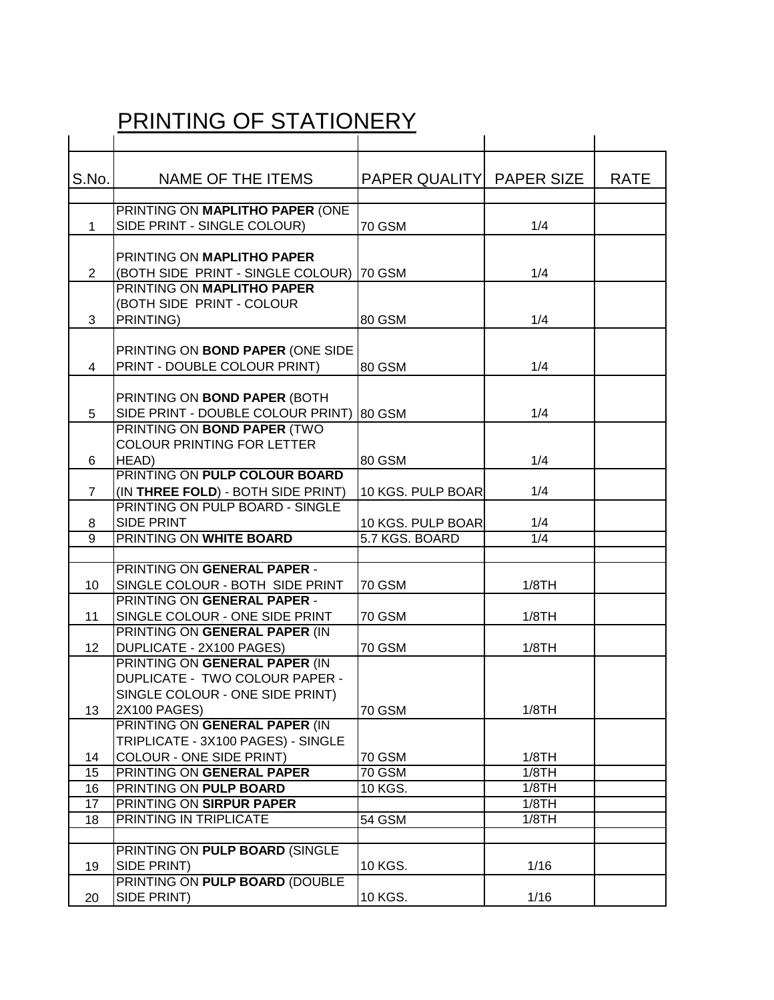## PRINTING OF STATIONERY

| S.No.          | NAME OF THE ITEMS                                               | PAPER QUALITY PAPER SIZE |       | <b>RATE</b> |
|----------------|-----------------------------------------------------------------|--------------------------|-------|-------------|
|                |                                                                 |                          |       |             |
|                | PRINTING ON MAPLITHO PAPER (ONE                                 |                          |       |             |
| $\mathbf{1}$   | SIDE PRINT - SINGLE COLOUR)                                     | <b>70 GSM</b>            | 1/4   |             |
|                |                                                                 |                          |       |             |
|                | PRINTING ON MAPLITHO PAPER                                      |                          |       |             |
| $\overline{2}$ | (BOTH SIDE PRINT - SINGLE COLOUR) 70 GSM                        |                          | 1/4   |             |
|                | PRINTING ON MAPLITHO PAPER                                      |                          |       |             |
|                | (BOTH SIDE PRINT - COLOUR                                       |                          |       |             |
| 3              | PRINTING)                                                       | 80 GSM                   | 1/4   |             |
|                |                                                                 |                          |       |             |
|                | PRINTING ON BOND PAPER (ONE SIDE                                |                          |       |             |
| $\overline{4}$ | PRINT - DOUBLE COLOUR PRINT)                                    | 80 GSM                   | 1/4   |             |
|                | PRINTING ON BOND PAPER (BOTH                                    |                          |       |             |
| 5              | SIDE PRINT - DOUBLE COLOUR PRINT)                               | 80 GSM                   | 1/4   |             |
|                | PRINTING ON BOND PAPER (TWO                                     |                          |       |             |
|                | <b>COLOUR PRINTING FOR LETTER</b>                               |                          |       |             |
| 6              | HEAD)                                                           | 80 GSM                   | 1/4   |             |
|                | PRINTING ON PULP COLOUR BOARD                                   |                          |       |             |
| $\overline{7}$ | (IN THREE FOLD) - BOTH SIDE PRINT)                              | 10 KGS. PULP BOAR        | 1/4   |             |
|                | PRINTING ON PULP BOARD - SINGLE                                 |                          |       |             |
| 8              | SIDE PRINT                                                      | 10 KGS. PULP BOAR        | 1/4   |             |
| 9              | PRINTING ON WHITE BOARD                                         | 5.7 KGS. BOARD           | 1/4   |             |
|                |                                                                 |                          |       |             |
|                | PRINTING ON GENERAL PAPER -                                     |                          |       |             |
| 10             | SINGLE COLOUR - BOTH SIDE PRINT                                 | <b>70 GSM</b>            | 1/8TH |             |
|                | PRINTING ON GENERAL PAPER -                                     |                          |       |             |
| 11             | SINGLE COLOUR - ONE SIDE PRINT<br>PRINTING ON GENERAL PAPER (IN | <b>70 GSM</b>            | 1/8TH |             |
| 12             | <b>DUPLICATE - 2X100 PAGES)</b>                                 | <b>70 GSM</b>            | 1/8TH |             |
|                | PRINTING ON GENERAL PAPER (IN                                   |                          |       |             |
|                | DUPLICATE - TWO COLOUR PAPER -                                  |                          |       |             |
|                | SINGLE COLOUR - ONE SIDE PRINT)                                 |                          |       |             |
| 13             | 2X100 PAGES)                                                    | <b>70 GSM</b>            | 1/8TH |             |
|                | PRINTING ON GENERAL PAPER (IN                                   |                          |       |             |
|                | TRIPLICATE - 3X100 PAGES) - SINGLE                              |                          |       |             |
| 14             | <b>COLOUR - ONE SIDE PRINT)</b>                                 | <b>70 GSM</b>            | 1/8TH |             |
| 15             | PRINTING ON GENERAL PAPER                                       | <b>70 GSM</b>            | 1/8TH |             |
| 16             | PRINTING ON PULP BOARD                                          | 10 KGS.                  | 1/8TH |             |
| 17             | PRINTING ON SIRPUR PAPER                                        |                          | 1/8TH |             |
| 18             | PRINTING IN TRIPLICATE                                          | 54 GSM                   | 1/8TH |             |
|                |                                                                 |                          |       |             |
|                | PRINTING ON PULP BOARD (SINGLE                                  |                          |       |             |
| 19             | SIDE PRINT)                                                     | 10 KGS.                  | 1/16  |             |
|                | PRINTING ON PULP BOARD (DOUBLE                                  |                          |       |             |
| 20             | SIDE PRINT)                                                     | 10 KGS.                  | 1/16  |             |